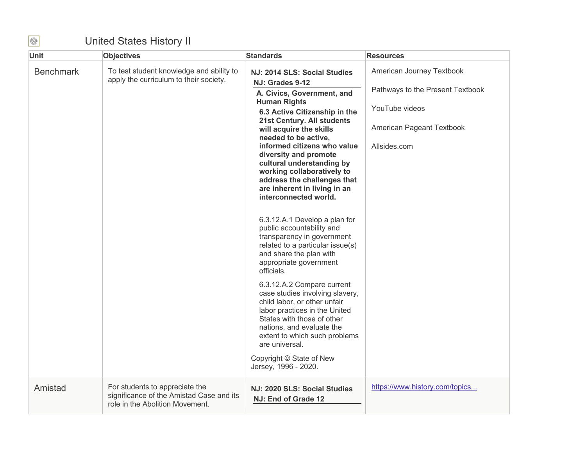## United States History II

| <b>Unit</b>      | <b>Objectives</b>                                                                                             | <b>Standards</b>                                                                                                                                                                                                                             | <b>Resources</b>                                              |
|------------------|---------------------------------------------------------------------------------------------------------------|----------------------------------------------------------------------------------------------------------------------------------------------------------------------------------------------------------------------------------------------|---------------------------------------------------------------|
| <b>Benchmark</b> | To test student knowledge and ability to<br>apply the curriculum to their society.                            | NJ: 2014 SLS: Social Studies<br>NJ: Grades 9-12                                                                                                                                                                                              | American Journey Textbook<br>Pathways to the Present Textbook |
|                  |                                                                                                               | A. Civics, Government, and<br><b>Human Rights</b>                                                                                                                                                                                            |                                                               |
|                  |                                                                                                               | 6.3 Active Citizenship in the                                                                                                                                                                                                                | YouTube videos                                                |
|                  |                                                                                                               | 21st Century. All students<br>will acquire the skills<br>needed to be active,                                                                                                                                                                | American Pageant Textbook                                     |
|                  |                                                                                                               | informed citizens who value<br>diversity and promote                                                                                                                                                                                         | Allsides.com                                                  |
|                  |                                                                                                               | cultural understanding by                                                                                                                                                                                                                    |                                                               |
|                  |                                                                                                               | working collaboratively to<br>address the challenges that                                                                                                                                                                                    |                                                               |
|                  |                                                                                                               | are inherent in living in an<br>interconnected world.                                                                                                                                                                                        |                                                               |
|                  |                                                                                                               |                                                                                                                                                                                                                                              |                                                               |
|                  |                                                                                                               | 6.3.12.A.1 Develop a plan for<br>public accountability and<br>transparency in government<br>related to a particular issue(s)<br>and share the plan with<br>appropriate government<br>officials.                                              |                                                               |
|                  |                                                                                                               | 6.3.12.A.2 Compare current<br>case studies involving slavery,<br>child labor, or other unfair<br>labor practices in the United<br>States with those of other<br>nations, and evaluate the<br>extent to which such problems<br>are universal. |                                                               |
|                  |                                                                                                               | Copyright © State of New<br>Jersey, 1996 - 2020.                                                                                                                                                                                             |                                                               |
| Amistad          | For students to appreciate the<br>significance of the Amistad Case and its<br>role in the Abolition Movement. | NJ: 2020 SLS: Social Studies<br>NJ: End of Grade 12                                                                                                                                                                                          | https://www.history.com/topics                                |

 $\bigcirc$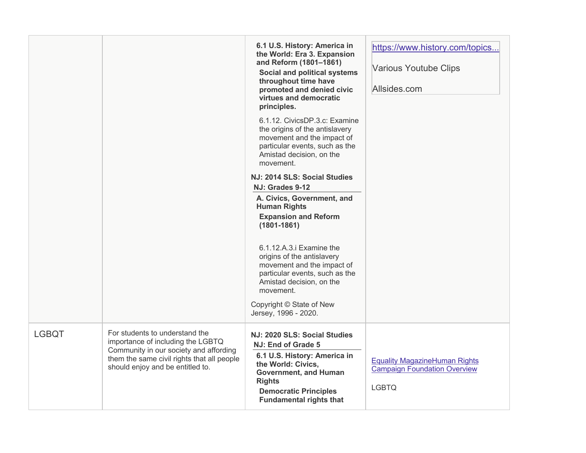|              |                                                                                                                                                                                                 | 6.1 U.S. History: America in<br>the World: Era 3. Expansion<br>and Reform (1801-1861)<br><b>Social and political systems</b><br>throughout time have<br>promoted and denied civic<br>virtues and democratic<br>principles.<br>6.1.12. CivicsDP.3.c: Examine<br>the origins of the antislavery<br>movement and the impact of<br>particular events, such as the<br>Amistad decision, on the<br>movement. | https://www.history.com/topics<br>Various Youtube Clips<br>Allsides.com                     |
|--------------|-------------------------------------------------------------------------------------------------------------------------------------------------------------------------------------------------|--------------------------------------------------------------------------------------------------------------------------------------------------------------------------------------------------------------------------------------------------------------------------------------------------------------------------------------------------------------------------------------------------------|---------------------------------------------------------------------------------------------|
|              |                                                                                                                                                                                                 | NJ: 2014 SLS: Social Studies<br>NJ: Grades 9-12                                                                                                                                                                                                                                                                                                                                                        |                                                                                             |
|              |                                                                                                                                                                                                 | A. Civics, Government, and<br><b>Human Rights</b><br><b>Expansion and Reform</b><br>$(1801 - 1861)$                                                                                                                                                                                                                                                                                                    |                                                                                             |
|              |                                                                                                                                                                                                 | 6.1.12.A.3.i Examine the<br>origins of the antislavery<br>movement and the impact of<br>particular events, such as the<br>Amistad decision, on the<br>movement.                                                                                                                                                                                                                                        |                                                                                             |
|              |                                                                                                                                                                                                 | Copyright © State of New<br>Jersey, 1996 - 2020.                                                                                                                                                                                                                                                                                                                                                       |                                                                                             |
| <b>LGBQT</b> | For students to understand the<br>importance of including the LGBTQ<br>Community in our society and affording<br>them the same civil rights that all people<br>should enjoy and be entitled to. | NJ: 2020 SLS: Social Studies<br>NJ: End of Grade 5<br>6.1 U.S. History: America in<br>the World: Civics,<br><b>Government, and Human</b><br><b>Rights</b><br><b>Democratic Principles</b><br><b>Fundamental rights that</b>                                                                                                                                                                            | <b>Equality MagazineHuman Rights</b><br><b>Campaign Foundation Overview</b><br><b>LGBTQ</b> |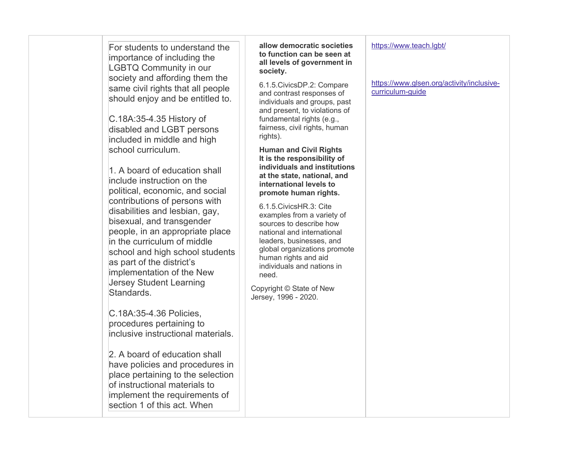| For students to understand the<br>importance of including the<br><b>LGBTQ Community in our</b><br>society and affording them the<br>same civil rights that all people<br>should enjoy and be entitled to.<br>C.18A:35-4.35 History of<br>disabled and LGBT persons<br>included in middle and high<br>school curriculum.<br>1. A board of education shall<br>include instruction on the<br>political, economic, and social<br>contributions of persons with<br>disabilities and lesbian, gay,<br>bisexual, and transgender<br>people, in an appropriate place<br>in the curriculum of middle<br>school and high school students<br>as part of the district's<br>implementation of the New<br><b>Jersey Student Learning</b><br>Standards.<br>C.18A:35-4.36 Policies,<br>procedures pertaining to<br>inclusive instructional materials.<br>2. A board of education shall<br>have policies and procedures in<br>place pertaining to the selection<br>of instructional materials to | allow democratic societies<br>to function can be seen at<br>all levels of government in<br>society.<br>6.1.5. Civics DP.2: Compare<br>and contrast responses of<br>individuals and groups, past<br>and present, to violations of<br>fundamental rights (e.g.,<br>fairness, civil rights, human<br>rights).<br><b>Human and Civil Rights</b><br>It is the responsibility of<br>individuals and institutions<br>at the state, national, and<br>international levels to<br>promote human rights.<br>6.1.5. Civics HR.3: Cite<br>examples from a variety of<br>sources to describe how<br>national and international<br>leaders, businesses, and<br>global organizations promote<br>human rights and aid<br>individuals and nations in<br>need.<br>Copyright © State of New<br>Jersey, 1996 - 2020. | https://www.teach.lgbt/<br>https://www.glsen.org/activity/inclusive-<br>curriculum-guide |
|---------------------------------------------------------------------------------------------------------------------------------------------------------------------------------------------------------------------------------------------------------------------------------------------------------------------------------------------------------------------------------------------------------------------------------------------------------------------------------------------------------------------------------------------------------------------------------------------------------------------------------------------------------------------------------------------------------------------------------------------------------------------------------------------------------------------------------------------------------------------------------------------------------------------------------------------------------------------------------|-------------------------------------------------------------------------------------------------------------------------------------------------------------------------------------------------------------------------------------------------------------------------------------------------------------------------------------------------------------------------------------------------------------------------------------------------------------------------------------------------------------------------------------------------------------------------------------------------------------------------------------------------------------------------------------------------------------------------------------------------------------------------------------------------|------------------------------------------------------------------------------------------|
| implement the requirements of<br>section 1 of this act. When                                                                                                                                                                                                                                                                                                                                                                                                                                                                                                                                                                                                                                                                                                                                                                                                                                                                                                                    |                                                                                                                                                                                                                                                                                                                                                                                                                                                                                                                                                                                                                                                                                                                                                                                                 |                                                                                          |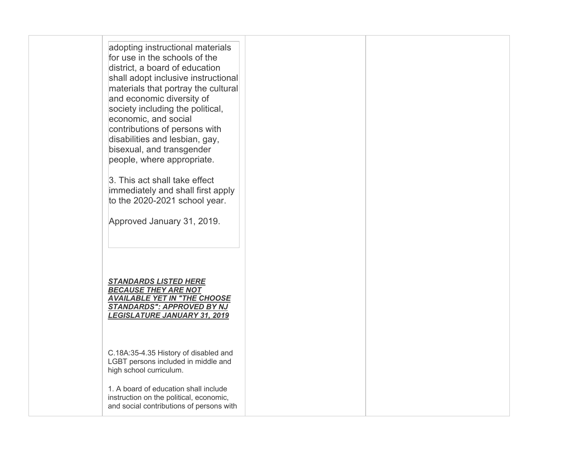| adopting instructional materials<br>for use in the schools of the<br>district, a board of education<br>shall adopt inclusive instructional<br>materials that portray the cultural<br>and economic diversity of<br>society including the political,<br>economic, and social<br>contributions of persons with<br>disabilities and lesbian, gay,<br>bisexual, and transgender<br>people, where appropriate.<br>3. This act shall take effect<br>immediately and shall first apply<br>to the 2020-2021 school year.<br>Approved January 31, 2019. |  |
|-----------------------------------------------------------------------------------------------------------------------------------------------------------------------------------------------------------------------------------------------------------------------------------------------------------------------------------------------------------------------------------------------------------------------------------------------------------------------------------------------------------------------------------------------|--|
| <b>STANDARDS LISTED HERE</b><br><b>BECAUSE THEY ARE NOT</b><br><b>AVAILABLE YET IN "THE CHOOSE</b><br><b>STANDARDS": APPROVED BY NJ</b><br><b>LEGISLATURE JANUARY 31, 2019</b>                                                                                                                                                                                                                                                                                                                                                                |  |
| C.18A:35-4.35 History of disabled and<br>LGBT persons included in middle and<br>high school curriculum.<br>1. A board of education shall include                                                                                                                                                                                                                                                                                                                                                                                              |  |
| instruction on the political, economic,<br>and social contributions of persons with                                                                                                                                                                                                                                                                                                                                                                                                                                                           |  |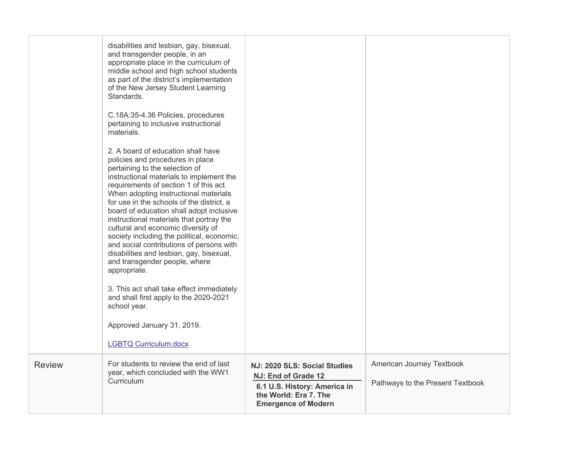|               | disabilities and lesbian, gay, bisexual,<br>and transgender people, in an<br>appropriate place in the curriculum of<br>middle school and high school students<br>as part of the district's implementation<br>of the New Jersey Student Learning<br>Standards.<br>C.18A:35-4.36 Policies, procedures<br>pertaining to inclusive instructional<br>materials.<br>2. A board of education shall have<br>policies and procedures in place<br>pertaining to the selection of<br>instructional materials to implement the<br>requirements of section 1 of this act.<br>When adopting instructional materials<br>for use in the schools of the district, a<br>board of education shall adopt inclusive<br>instructional materials that portray the<br>cultural and economic diversity of<br>society including the political, economic,<br>and social contributions of persons with<br>disabilities and lesbian, gay, bisexual,<br>and transgender people, where<br>appropriate.<br>3. This act shall take effect immediately<br>and shall first apply to the 2020-2021<br>school year.<br>Approved January 31, 2019.<br><b>LGBTQ Curriculum.docx</b> |                                                                                     |                                  |
|---------------|----------------------------------------------------------------------------------------------------------------------------------------------------------------------------------------------------------------------------------------------------------------------------------------------------------------------------------------------------------------------------------------------------------------------------------------------------------------------------------------------------------------------------------------------------------------------------------------------------------------------------------------------------------------------------------------------------------------------------------------------------------------------------------------------------------------------------------------------------------------------------------------------------------------------------------------------------------------------------------------------------------------------------------------------------------------------------------------------------------------------------------------------|-------------------------------------------------------------------------------------|----------------------------------|
| <b>Review</b> | For students to review the end of last                                                                                                                                                                                                                                                                                                                                                                                                                                                                                                                                                                                                                                                                                                                                                                                                                                                                                                                                                                                                                                                                                                       |                                                                                     | American Journey Textbook        |
|               | year, which concluded with the WW1<br>Curriculum                                                                                                                                                                                                                                                                                                                                                                                                                                                                                                                                                                                                                                                                                                                                                                                                                                                                                                                                                                                                                                                                                             | NJ: 2020 SLS: Social Studies<br>NJ: End of Grade 12                                 | Pathways to the Present Textbook |
|               |                                                                                                                                                                                                                                                                                                                                                                                                                                                                                                                                                                                                                                                                                                                                                                                                                                                                                                                                                                                                                                                                                                                                              | 6.1 U.S. History: America in<br>the World: Era 7. The<br><b>Emergence of Modern</b> |                                  |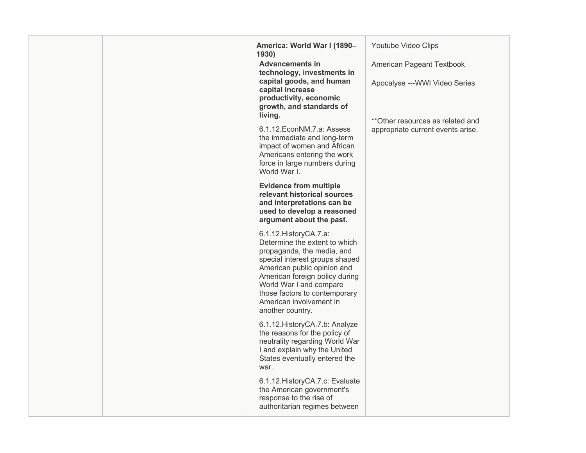| America: World War I (1890-<br>1930)<br><b>Advancements in</b><br>technology, investments in<br>capital goods, and human<br>capital increase<br>productivity, economic<br>growth, and standards of<br>living.<br>6.1.12. EconNM. 7.a: Assess<br>the immediate and long-term<br>impact of women and African<br>Americans entering the work<br>force in large numbers during<br>World War I. | Youtube Video Clips<br>American Pageant Textbook<br>Apocalyse --- WWI Video Series<br>** Other resources as related and<br>appropriate current events arise. |
|--------------------------------------------------------------------------------------------------------------------------------------------------------------------------------------------------------------------------------------------------------------------------------------------------------------------------------------------------------------------------------------------|--------------------------------------------------------------------------------------------------------------------------------------------------------------|
| <b>Evidence from multiple</b><br>relevant historical sources<br>and interpretations can be<br>used to develop a reasoned<br>argument about the past.                                                                                                                                                                                                                                       |                                                                                                                                                              |
| 6.1.12. History CA.7.a:<br>Determine the extent to which<br>propaganda, the media, and<br>special interest groups shaped<br>American public opinion and<br>American foreign policy during<br>World War I and compare<br>those factors to contemporary<br>American involvement in<br>another country.                                                                                       |                                                                                                                                                              |
| 6.1.12. History CA. 7.b: Analyze<br>the reasons for the policy of<br>neutrality regarding World War<br>I and explain why the United<br>States eventually entered the<br>war.                                                                                                                                                                                                               |                                                                                                                                                              |
| 6.1.12. History CA.7.c: Evaluate<br>the American government's<br>response to the rise of<br>authoritarian regimes between                                                                                                                                                                                                                                                                  |                                                                                                                                                              |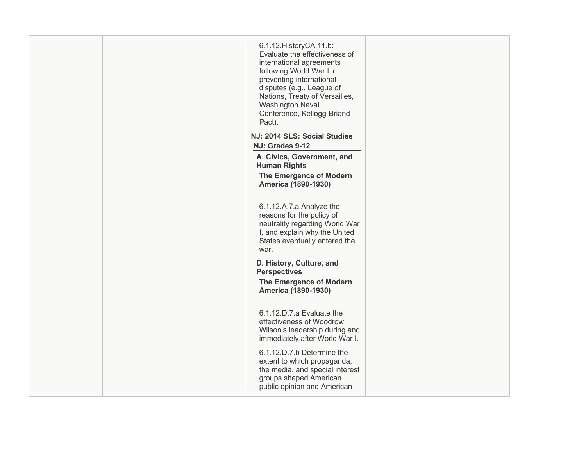| 6.1.12. History CA.11.b:<br>Evaluate the effectiveness of<br>international agreements<br>following World War I in<br>preventing international<br>disputes (e.g., League of<br>Nations, Treaty of Versailles,<br><b>Washington Naval</b><br>Conference, Kellogg-Briand<br>Pact). |  |
|---------------------------------------------------------------------------------------------------------------------------------------------------------------------------------------------------------------------------------------------------------------------------------|--|
| NJ: 2014 SLS: Social Studies                                                                                                                                                                                                                                                    |  |
| NJ: Grades 9-12                                                                                                                                                                                                                                                                 |  |
| A. Civics, Government, and<br><b>Human Rights</b>                                                                                                                                                                                                                               |  |
| The Emergence of Modern<br><b>America (1890-1930)</b>                                                                                                                                                                                                                           |  |
| 6.1.12.A.7.a Analyze the<br>reasons for the policy of<br>neutrality regarding World War<br>I, and explain why the United<br>States eventually entered the<br>war.                                                                                                               |  |
| D. History, Culture, and<br><b>Perspectives</b><br><b>The Emergence of Modern</b>                                                                                                                                                                                               |  |
| America (1890-1930)                                                                                                                                                                                                                                                             |  |
| 6.1.12.D.7.a Evaluate the<br>effectiveness of Woodrow<br>Wilson's leadership during and<br>immediately after World War I.                                                                                                                                                       |  |
| 6.1.12.D.7.b Determine the<br>extent to which propaganda,<br>the media, and special interest<br>groups shaped American<br>public opinion and American                                                                                                                           |  |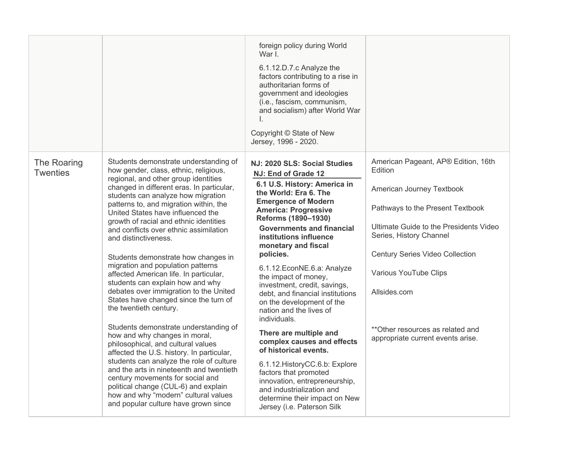|                                |                                                                                                                                                                                                                                                                                                                                                                                                                                                                                                                                                                                                                                                                                                                                                                                                                                                                                                                                                                                                                                                                                              | foreign policy during World<br>War L<br>6.1.12.D.7.c Analyze the<br>factors contributing to a rise in<br>authoritarian forms of<br>government and ideologies<br>(i.e., fascism, communism,<br>and socialism) after World War<br>L.<br>Copyright © State of New<br>Jersey, 1996 - 2020.                                                                                                                                                                                                                                                                                                                                                                                                                                                                                          |                                                                                                                                                                                                                                                                                                                                                  |
|--------------------------------|----------------------------------------------------------------------------------------------------------------------------------------------------------------------------------------------------------------------------------------------------------------------------------------------------------------------------------------------------------------------------------------------------------------------------------------------------------------------------------------------------------------------------------------------------------------------------------------------------------------------------------------------------------------------------------------------------------------------------------------------------------------------------------------------------------------------------------------------------------------------------------------------------------------------------------------------------------------------------------------------------------------------------------------------------------------------------------------------|---------------------------------------------------------------------------------------------------------------------------------------------------------------------------------------------------------------------------------------------------------------------------------------------------------------------------------------------------------------------------------------------------------------------------------------------------------------------------------------------------------------------------------------------------------------------------------------------------------------------------------------------------------------------------------------------------------------------------------------------------------------------------------|--------------------------------------------------------------------------------------------------------------------------------------------------------------------------------------------------------------------------------------------------------------------------------------------------------------------------------------------------|
| The Roaring<br><b>Twenties</b> | Students demonstrate understanding of<br>how gender, class, ethnic, religious,<br>regional, and other group identities<br>changed in different eras. In particular,<br>students can analyze how migration<br>patterns to, and migration within, the<br>United States have influenced the<br>growth of racial and ethnic identities<br>and conflicts over ethnic assimilation<br>and distinctiveness.<br>Students demonstrate how changes in<br>migration and population patterns<br>affected American life. In particular,<br>students can explain how and why<br>debates over immigration to the United<br>States have changed since the turn of<br>the twentieth century.<br>Students demonstrate understanding of<br>how and why changes in moral,<br>philosophical, and cultural values<br>affected the U.S. history. In particular,<br>students can analyze the role of culture<br>and the arts in nineteenth and twentieth<br>century movements for social and<br>political change (CUL-6) and explain<br>how and why "modern" cultural values<br>and popular culture have grown since | NJ: 2020 SLS: Social Studies<br>NJ: End of Grade 12<br>6.1 U.S. History: America in<br>the World: Era 6. The<br><b>Emergence of Modern</b><br><b>America: Progressive</b><br>Reforms (1890-1930)<br><b>Governments and financial</b><br>institutions influence<br>monetary and fiscal<br>policies.<br>6.1.12. EconNE.6.a: Analyze<br>the impact of money,<br>investment, credit, savings,<br>debt, and financial institutions<br>on the development of the<br>nation and the lives of<br>individuals.<br>There are multiple and<br>complex causes and effects<br>of historical events.<br>6.1.12. History CC.6.b: Explore<br>factors that promoted<br>innovation, entrepreneurship,<br>and industrialization and<br>determine their impact on New<br>Jersey (i.e. Paterson Silk | American Pageant, AP® Edition, 16th<br>Edition<br>American Journey Textbook<br>Pathways to the Present Textbook<br>Ultimate Guide to the Presidents Video<br>Series, History Channel<br><b>Century Series Video Collection</b><br>Various YouTube Clips<br>Allsides.com<br>**Other resources as related and<br>appropriate current events arise. |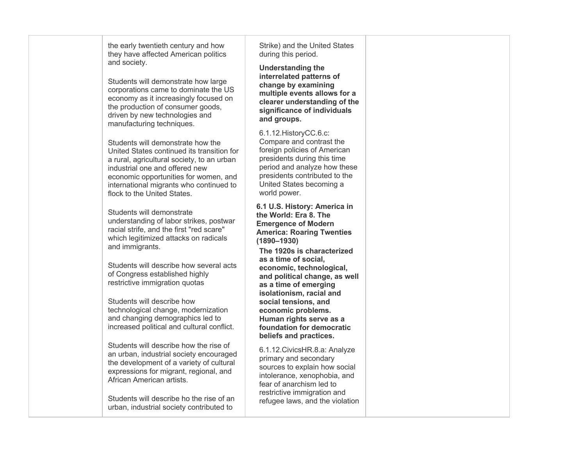the early twentieth century and how they have affected American politics and society.

 Students will demonstrate how large corporations came to dominate the US economy as it increasingly focused on the production of consumer goods, driven by new technologies and manufacturing techniques.

 United States continued its transition for a rural, agricultural society, to an urban industrial one and offered new economic opportunities for women, and international migrants who continued to Students will demonstrate how the flock to the United States.

 understanding of labor strikes, postwar which legitimized attacks on radicals Students will demonstrate racial strife, and the first "red scare" and immigrants.

 Students will describe how several acts of Congress established highly restrictive immigration quotas

 Students will describe how technological change, modernization and changing demographics led to increased political and cultural conflict.

 Students will describe how the rise of an urban, industrial society encouraged expressions for migrant, regional, and African American artists. the development of a variety of cultural

 Students will describe ho the rise of an urban, industrial society contributed to

 Strike) and the United States during this period.

 **Understanding the multiple events allows for a clearer understanding of the interrelated patterns of change by examining significance of individuals and groups.** 

 Compare and contrast the United States becoming a 6.1.12.HistoryCC.6.c: foreign policies of American presidents during this time period and analyze how these presidents contributed to the world power.

 **6.1 U.S. History: America in Emergence of Modern America: Roaring Twenties the World: Era 8. The (1890–1930)** 

 **The 1920s is characterized as a time of social, and political change, as well as a time of emerging social tensions, and Human rights serve as a economic, technological, isolationism, racial and economic problems. foundation for democratic beliefs and practices.** 

 sources to explain how social 6.1.12.CivicsHR.8.a: Analyze primary and secondary intolerance, xenophobia, and fear of anarchism led to restrictive immigration and refugee laws, and the violation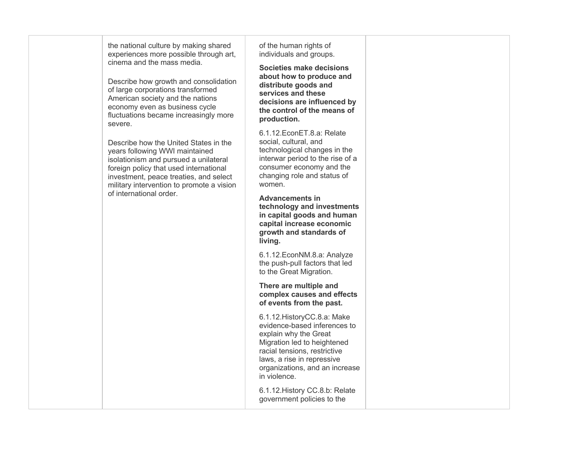the national culture by making shared experiences more possible through art, cinema and the mass media.

 Describe how growth and consolidation American society and the nations of large corporations transformed economy even as business cycle fluctuations became increasingly more severe.

 Describe how the United States in the isolationism and pursued a unilateral investment, peace treaties, and select military intervention to promote a vision years following WWI maintained foreign policy that used international of international order.

 individuals and groups. of the human rights of

 **Societies make decisions about how to produce and distribute goods and services and these decisions are influenced by the control of the means of production.** 

 social, cultural, and interwar period to the rise of a 6.1.12.EconET.8.a: Relate technological changes in the consumer economy and the changing role and status of women.

 **Advancements in growth and standards of technology and investments in capital goods and human capital increase economic living.** 

 the push-pull factors that led 6.1.12.EconNM.8.a: Analyze to the Great Migration.

 **There are multiple and of events from the past. complex causes and effects** 

 Migration led to heightened laws, a rise in repressive 6.1.12.HistoryCC.8.a: Make evidence-based inferences to explain why the Great racial tensions, restrictive organizations, and an increase in violence.

6.1.12.History CC.8.b: Relate government policies to the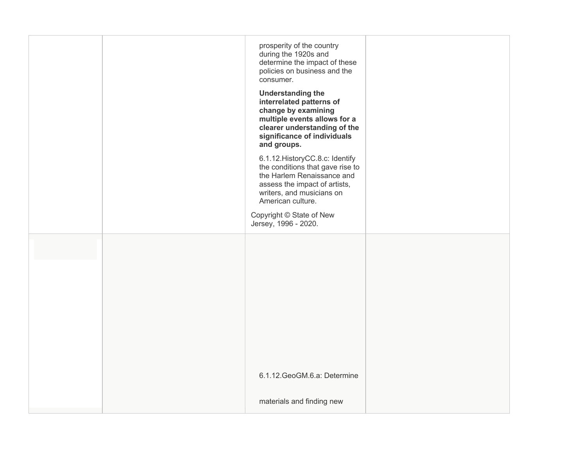| prosperity of the country<br>during the 1920s and<br>determine the impact of these<br>policies on business and the<br>consumer.<br><b>Understanding the</b><br>interrelated patterns of<br>change by examining<br>multiple events allows for a<br>clearer understanding of the<br>significance of individuals<br>and groups.<br>6.1.12. HistoryCC.8.c: Identify<br>the conditions that gave rise to<br>the Harlem Renaissance and<br>assess the impact of artists,<br>writers, and musicians on<br>American culture.<br>Copyright © State of New<br>Jersey, 1996 - 2020. |  |
|--------------------------------------------------------------------------------------------------------------------------------------------------------------------------------------------------------------------------------------------------------------------------------------------------------------------------------------------------------------------------------------------------------------------------------------------------------------------------------------------------------------------------------------------------------------------------|--|
| 6.1.12. GeoGM.6.a: Determine<br>materials and finding new                                                                                                                                                                                                                                                                                                                                                                                                                                                                                                                |  |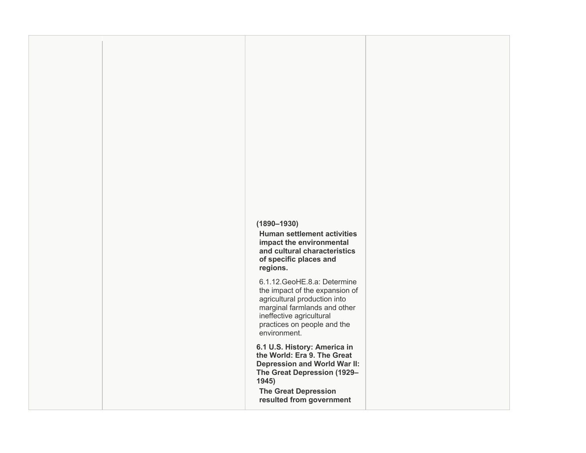## **(1890–1930)**

 **Human settlement activities and cultural characteristics of specific places and impact the environmental regions.** 

 marginal farmlands and other 6.1.12.GeoHE.8.a: Determine the impact of the expansion of agricultural production into ineffective agricultural practices on people and the environment.

 **6.1 U.S. History: America in Depression and World War II: The Great Depression (1929– the World: Era 9. The Great 1945)** 

 **The Great Depression resulted from government**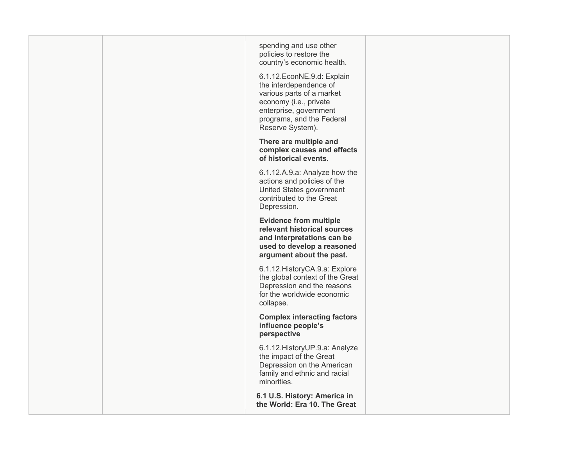| spending and use other<br>policies to restore the<br>country's economic health.<br>6.1.12. EconNE.9.d: Explain<br>the interdependence of<br>various parts of a market<br>economy (i.e., private<br>enterprise, government<br>programs, and the Federal<br>Reserve System). |  |
|----------------------------------------------------------------------------------------------------------------------------------------------------------------------------------------------------------------------------------------------------------------------------|--|
| There are multiple and<br>complex causes and effects<br>of historical events.                                                                                                                                                                                              |  |
| 6.1.12.A.9.a: Analyze how the<br>actions and policies of the<br>United States government<br>contributed to the Great<br>Depression.                                                                                                                                        |  |
| <b>Evidence from multiple</b><br>relevant historical sources<br>and interpretations can be<br>used to develop a reasoned<br>argument about the past.                                                                                                                       |  |
| 6.1.12. History CA.9.a: Explore<br>the global context of the Great<br>Depression and the reasons<br>for the worldwide economic<br>collapse.                                                                                                                                |  |
| <b>Complex interacting factors</b><br>influence people's<br>perspective                                                                                                                                                                                                    |  |
| 6.1.12. History UP.9.a: Analyze<br>the impact of the Great<br>Depression on the American<br>family and ethnic and racial<br>minorities.                                                                                                                                    |  |
| 6.1 U.S. History: America in<br>the World: Era 10. The Great                                                                                                                                                                                                               |  |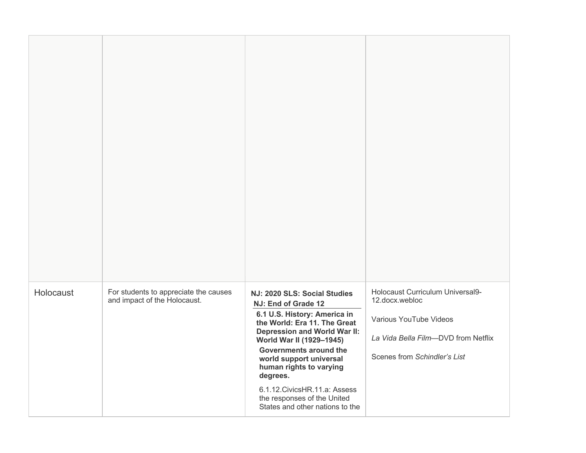| Holocaust | For students to appreciate the causes<br>and impact of the Holocaust. | NJ: 2020 SLS: Social Studies<br>NJ: End of Grade 12<br>6.1 U.S. History: America in<br>the World: Era 11. The Great<br><b>Depression and World War II:</b><br>World War II (1929-1945)<br>Governments around the<br>world support universal<br>human rights to varying<br>degrees.<br>6.1.12. Civics HR. 11. a: Assess<br>the responses of the United<br>States and other nations to the | Holocaust Curriculum Universal9-<br>12.docx.webloc<br>Various YouTube Videos<br>La Vida Bella Film-DVD from Netflix<br>Scenes from Schindler's List |
|-----------|-----------------------------------------------------------------------|------------------------------------------------------------------------------------------------------------------------------------------------------------------------------------------------------------------------------------------------------------------------------------------------------------------------------------------------------------------------------------------|-----------------------------------------------------------------------------------------------------------------------------------------------------|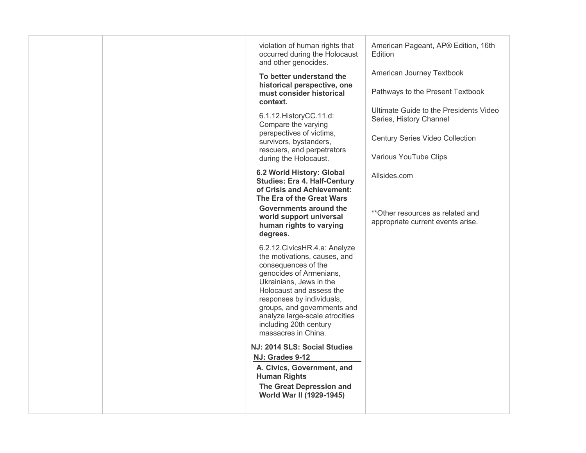| violation of human rights that<br>occurred during the Holocaust<br>and other genocides.                                                                                                                                                                                                                                | American Pageant, AP® Edition, 16th<br>Edition                        |
|------------------------------------------------------------------------------------------------------------------------------------------------------------------------------------------------------------------------------------------------------------------------------------------------------------------------|-----------------------------------------------------------------------|
| To better understand the                                                                                                                                                                                                                                                                                               | American Journey Textbook                                             |
| historical perspective, one<br>must consider historical<br>context.                                                                                                                                                                                                                                                    | Pathways to the Present Textbook                                      |
| 6.1.12. History CC.11.d:<br>Compare the varying                                                                                                                                                                                                                                                                        | Ultimate Guide to the Presidents Video<br>Series, History Channel     |
| perspectives of victims,<br>survivors, bystanders,<br>rescuers, and perpetrators                                                                                                                                                                                                                                       | <b>Century Series Video Collection</b>                                |
| during the Holocaust.                                                                                                                                                                                                                                                                                                  | Various YouTube Clips                                                 |
| 6.2 World History: Global<br><b>Studies: Era 4. Half-Century</b><br>of Crisis and Achievement:<br>The Era of the Great Wars                                                                                                                                                                                            | Allsides.com                                                          |
| Governments around the<br>world support universal<br>human rights to varying<br>degrees.                                                                                                                                                                                                                               | **Other resources as related and<br>appropriate current events arise. |
| 6.2.12. Civics HR.4.a: Analyze<br>the motivations, causes, and<br>consequences of the<br>genocides of Armenians,<br>Ukrainians, Jews in the<br>Holocaust and assess the<br>responses by individuals,<br>groups, and governments and<br>analyze large-scale atrocities<br>including 20th century<br>massacres in China. |                                                                       |
| NJ: 2014 SLS: Social Studies                                                                                                                                                                                                                                                                                           |                                                                       |
| NJ: Grades 9-12<br>A. Civics, Government, and                                                                                                                                                                                                                                                                          |                                                                       |
| <b>Human Rights</b>                                                                                                                                                                                                                                                                                                    |                                                                       |
| <b>The Great Depression and</b><br>World War II (1929-1945)                                                                                                                                                                                                                                                            |                                                                       |
|                                                                                                                                                                                                                                                                                                                        |                                                                       |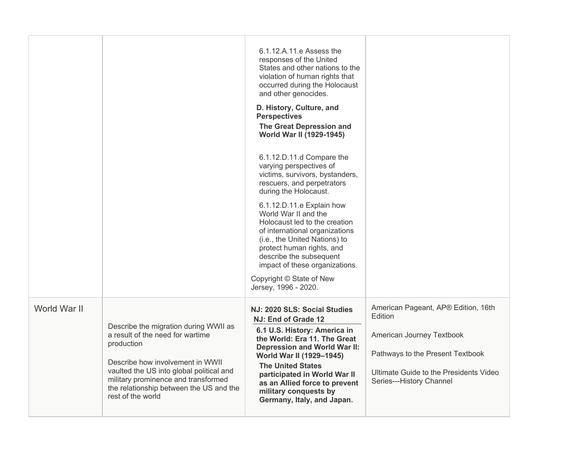|              |                                                                                                                                                                                                                                                                                | 6.1.12.A.11.e Assess the<br>responses of the United<br>States and other nations to the<br>violation of human rights that<br>occurred during the Holocaust<br>and other genocides.<br>D. History, Culture, and<br><b>Perspectives</b><br>The Great Depression and<br>World War II (1929-1945)<br>6.1.12.D.11.d Compare the<br>varying perspectives of<br>victims, survivors, bystanders,<br>rescuers, and perpetrators<br>during the Holocaust.<br>6.1.12.D.11.e Explain how<br>World War II and the<br>Holocaust led to the creation<br>of international organizations<br>(i.e., the United Nations) to<br>protect human rights, and<br>describe the subsequent<br>impact of these organizations.<br>Copyright © State of New<br>Jersey, 1996 - 2020. |                                                                                                                                                                                       |
|--------------|--------------------------------------------------------------------------------------------------------------------------------------------------------------------------------------------------------------------------------------------------------------------------------|-------------------------------------------------------------------------------------------------------------------------------------------------------------------------------------------------------------------------------------------------------------------------------------------------------------------------------------------------------------------------------------------------------------------------------------------------------------------------------------------------------------------------------------------------------------------------------------------------------------------------------------------------------------------------------------------------------------------------------------------------------|---------------------------------------------------------------------------------------------------------------------------------------------------------------------------------------|
| World War II | Describe the migration during WWII as<br>a result of the need for wartime<br>production<br>Describe how involvement in WWII<br>vaulted the US into global political and<br>military prominence and transformed<br>the relationship between the US and the<br>rest of the world | NJ: 2020 SLS: Social Studies<br>NJ: End of Grade 12<br>6.1 U.S. History: America in<br>the World: Era 11. The Great<br><b>Depression and World War II:</b><br>World War II (1929-1945)<br><b>The United States</b><br>participated in World War II<br>as an Allied force to prevent<br>military conquests by<br>Germany, Italy, and Japan.                                                                                                                                                                                                                                                                                                                                                                                                            | American Pageant, AP® Edition, 16th<br>Edition<br>American Journey Textbook<br>Pathways to the Present Textbook<br>Ultimate Guide to the Presidents Video<br>Series---History Channel |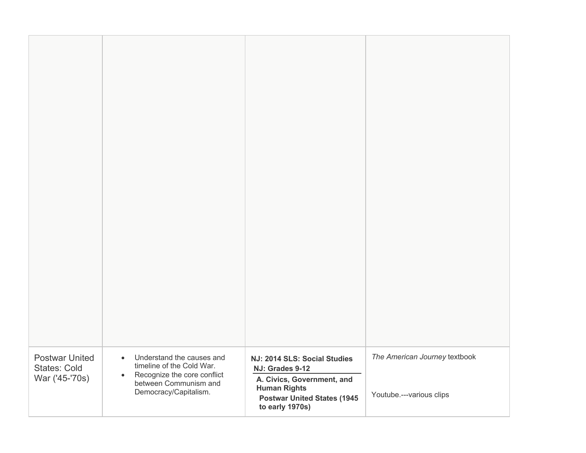| <b>Postwar United</b><br><b>States: Cold</b><br>War ('45-'70s) | Understand the causes and<br>$\bullet$<br>timeline of the Cold War.<br>Recognize the core conflict<br>$\bullet$<br>between Communism and<br>Democracy/Capitalism. | NJ: 2014 SLS: Social Studies<br>NJ: Grades 9-12<br>A. Civics, Government, and<br><b>Human Rights</b><br><b>Postwar United States (1945</b><br>to early 1970s) | The American Journey textbook<br>Youtube.---various clips |
|----------------------------------------------------------------|-------------------------------------------------------------------------------------------------------------------------------------------------------------------|---------------------------------------------------------------------------------------------------------------------------------------------------------------|-----------------------------------------------------------|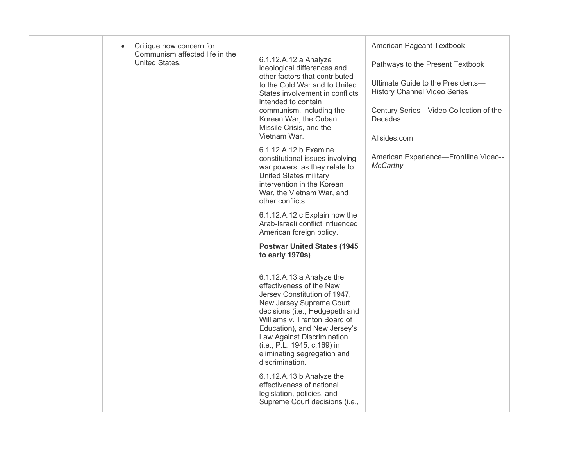| Critique how concern for<br>$\bullet$<br>Communism affected life in the<br>United States. | 6.1.12.A.12.a Analyze<br>ideological differences and<br>other factors that contributed<br>to the Cold War and to United<br>States involvement in conflicts<br>intended to contain<br>communism, including the                                                                                                                      | American Pageant Textbook<br>Pathways to the Present Textbook<br>Ultimate Guide to the Presidents-<br><b>History Channel Video Series</b><br>Century Series---Video Collection of the |
|-------------------------------------------------------------------------------------------|------------------------------------------------------------------------------------------------------------------------------------------------------------------------------------------------------------------------------------------------------------------------------------------------------------------------------------|---------------------------------------------------------------------------------------------------------------------------------------------------------------------------------------|
|                                                                                           | Korean War, the Cuban<br>Missile Crisis, and the<br>Vietnam War.                                                                                                                                                                                                                                                                   | Decades<br>Allsides.com                                                                                                                                                               |
|                                                                                           | 6.1.12.A.12.b Examine<br>constitutional issues involving<br>war powers, as they relate to<br><b>United States military</b><br>intervention in the Korean<br>War, the Vietnam War, and<br>other conflicts.                                                                                                                          | American Experience-Frontline Video--<br><b>McCarthy</b>                                                                                                                              |
|                                                                                           | 6.1.12.A.12.c Explain how the<br>Arab-Israeli conflict influenced<br>American foreign policy.                                                                                                                                                                                                                                      |                                                                                                                                                                                       |
|                                                                                           | <b>Postwar United States (1945</b><br>to early 1970s)                                                                                                                                                                                                                                                                              |                                                                                                                                                                                       |
|                                                                                           | 6.1.12.A.13.a Analyze the<br>effectiveness of the New<br>Jersey Constitution of 1947,<br>New Jersey Supreme Court<br>decisions (i.e., Hedgepeth and<br>Williams v. Trenton Board of<br>Education), and New Jersey's<br>Law Against Discrimination<br>(i.e., P.L. 1945, c.169) in<br>eliminating segregation and<br>discrimination. |                                                                                                                                                                                       |
|                                                                                           | 6.1.12.A.13.b Analyze the<br>effectiveness of national<br>legislation, policies, and<br>Supreme Court decisions (i.e.,                                                                                                                                                                                                             |                                                                                                                                                                                       |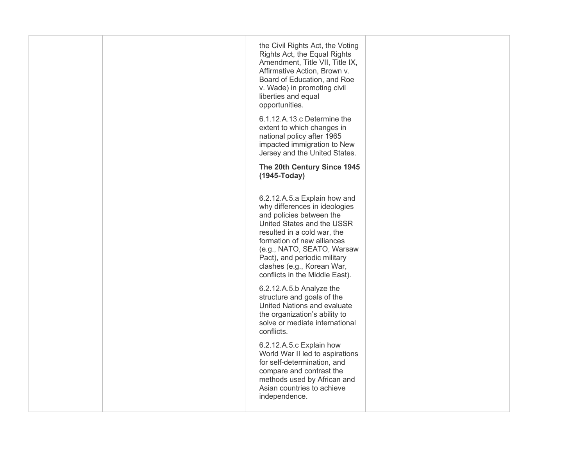|  | the Civil Rights Act, the Voting<br>Rights Act, the Equal Rights<br>Amendment, Title VII, Title IX,<br>Affirmative Action, Brown v.<br>Board of Education, and Roe<br>v. Wade) in promoting civil<br>liberties and equal<br>opportunities.                                                                         |  |
|--|--------------------------------------------------------------------------------------------------------------------------------------------------------------------------------------------------------------------------------------------------------------------------------------------------------------------|--|
|  | 6.1.12.A.13.c Determine the<br>extent to which changes in<br>national policy after 1965<br>impacted immigration to New<br>Jersey and the United States.                                                                                                                                                            |  |
|  | The 20th Century Since 1945<br>(1945-Today)                                                                                                                                                                                                                                                                        |  |
|  | 6.2.12.A.5.a Explain how and<br>why differences in ideologies<br>and policies between the<br>United States and the USSR<br>resulted in a cold war, the<br>formation of new alliances<br>(e.g., NATO, SEATO, Warsaw<br>Pact), and periodic military<br>clashes (e.g., Korean War,<br>conflicts in the Middle East). |  |
|  | 6.2.12.A.5.b Analyze the<br>structure and goals of the<br>United Nations and evaluate<br>the organization's ability to<br>solve or mediate international<br>conflicts.                                                                                                                                             |  |
|  | 6.2.12.A.5.c Explain how<br>World War II led to aspirations<br>for self-determination, and<br>compare and contrast the<br>methods used by African and<br>Asian countries to achieve<br>independence.                                                                                                               |  |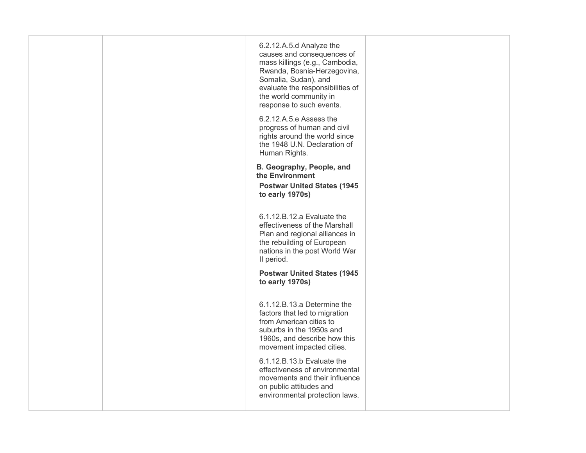|  | 6.2.12.A.5.d Analyze the<br>causes and consequences of<br>mass killings (e.g., Cambodia,<br>Rwanda, Bosnia-Herzegovina,<br>Somalia, Sudan), and<br>evaluate the responsibilities of<br>the world community in<br>response to such events. |  |
|--|-------------------------------------------------------------------------------------------------------------------------------------------------------------------------------------------------------------------------------------------|--|
|  | 6.2.12.A.5.e Assess the<br>progress of human and civil<br>rights around the world since<br>the 1948 U.N. Declaration of<br>Human Rights.                                                                                                  |  |
|  | B. Geography, People, and<br>the Environment<br><b>Postwar United States (1945</b><br>to early 1970s)                                                                                                                                     |  |
|  | 6.1.12.B.12.a Evaluate the<br>effectiveness of the Marshall<br>Plan and regional alliances in<br>the rebuilding of European<br>nations in the post World War<br>II period.                                                                |  |
|  | <b>Postwar United States (1945)</b><br>to early 1970s)                                                                                                                                                                                    |  |
|  | 6.1.12.B.13.a Determine the<br>factors that led to migration<br>from American cities to<br>suburbs in the 1950s and<br>1960s, and describe how this<br>movement impacted cities.                                                          |  |
|  | 6.1.12.B.13.b Evaluate the<br>effectiveness of environmental<br>movements and their influence<br>on public attitudes and<br>environmental protection laws.                                                                                |  |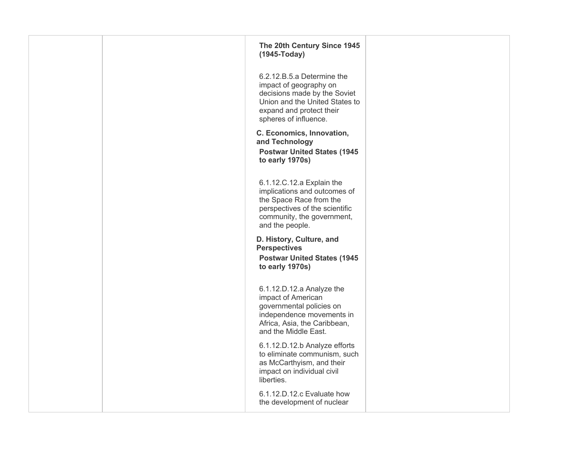|  | The 20th Century Since 1945<br>(1945-Today)                                                                                                                                 |  |
|--|-----------------------------------------------------------------------------------------------------------------------------------------------------------------------------|--|
|  | 6.2.12.B.5.a Determine the<br>impact of geography on<br>decisions made by the Soviet<br>Union and the United States to<br>expand and protect their<br>spheres of influence. |  |
|  | C. Economics, Innovation,<br>and Technology<br><b>Postwar United States (1945</b><br>to early 1970s)                                                                        |  |
|  | 6.1.12.C.12.a Explain the<br>implications and outcomes of<br>the Space Race from the<br>perspectives of the scientific<br>community, the government,<br>and the people.     |  |
|  | D. History, Culture, and<br><b>Perspectives</b><br><b>Postwar United States (1945</b><br>to early 1970s)                                                                    |  |
|  | 6.1.12.D.12.a Analyze the<br>impact of American<br>governmental policies on<br>independence movements in<br>Africa, Asia, the Caribbean,<br>and the Middle East.            |  |
|  | 6.1.12.D.12.b Analyze efforts<br>to eliminate communism, such<br>as McCarthyism, and their<br>impact on individual civil<br>liberties.                                      |  |
|  | 6.1.12.D.12.c Evaluate how<br>the development of nuclear                                                                                                                    |  |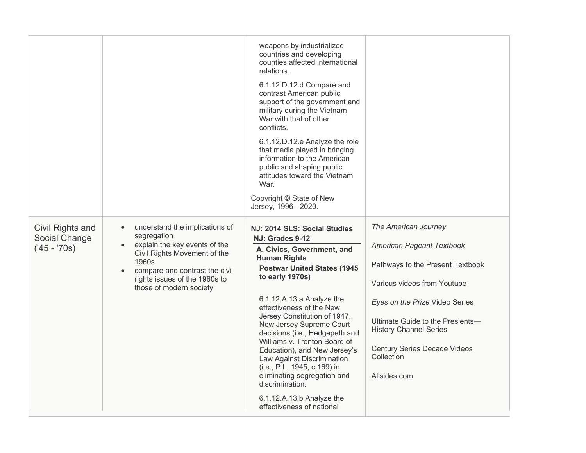|                                                   |                                                                                                                                                                                                                                                 | weapons by industrialized<br>countries and developing<br>counties affected international<br>relations.<br>6.1.12.D.12.d Compare and<br>contrast American public<br>support of the government and<br>military during the Vietnam<br>War with that of other<br>conflicts.<br>6.1.12.D.12.e Analyze the role<br>that media played in bringing<br>information to the American<br>public and shaping public<br>attitudes toward the Vietnam<br>War.<br>Copyright © State of New<br>Jersey, 1996 - 2020.                                                            |                                                                                                                                                                                                                                                                                                  |
|---------------------------------------------------|-------------------------------------------------------------------------------------------------------------------------------------------------------------------------------------------------------------------------------------------------|---------------------------------------------------------------------------------------------------------------------------------------------------------------------------------------------------------------------------------------------------------------------------------------------------------------------------------------------------------------------------------------------------------------------------------------------------------------------------------------------------------------------------------------------------------------|--------------------------------------------------------------------------------------------------------------------------------------------------------------------------------------------------------------------------------------------------------------------------------------------------|
| Civil Rights and<br>Social Change<br>$(45 - 70s)$ | understand the implications of<br>$\bullet$<br>segregation<br>explain the key events of the<br>$\bullet$<br>Civil Rights Movement of the<br>1960s<br>compare and contrast the civil<br>rights issues of the 1960s to<br>those of modern society | NJ: 2014 SLS: Social Studies<br>NJ: Grades 9-12<br>A. Civics, Government, and<br><b>Human Rights</b><br><b>Postwar United States (1945</b><br>to early 1970s)<br>6.1.12.A.13.a Analyze the<br>effectiveness of the New<br>Jersey Constitution of 1947,<br>New Jersey Supreme Court<br>decisions (i.e., Hedgepeth and<br>Williams v. Trenton Board of<br>Education), and New Jersey's<br>Law Against Discrimination<br>(i.e., P.L. 1945, c.169) in<br>eliminating segregation and<br>discrimination.<br>6.1.12.A.13.b Analyze the<br>effectiveness of national | The American Journey<br>American Pageant Textbook<br>Pathways to the Present Textbook<br>Various videos from Youtube<br>Eyes on the Prize Video Series<br>Ultimate Guide to the Presients-<br><b>History Channel Series</b><br><b>Century Series Decade Videos</b><br>Collection<br>Allsides.com |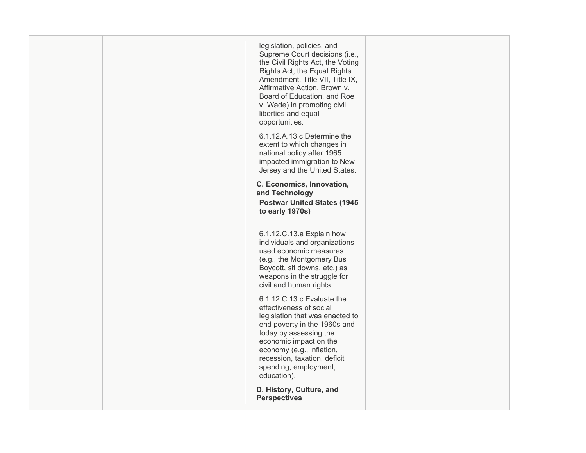| legislation, policies, and<br>Supreme Court decisions (i.e.,<br>the Civil Rights Act, the Voting<br>Rights Act, the Equal Rights<br>Amendment, Title VII, Title IX,<br>Affirmative Action, Brown v.<br>Board of Education, and Roe<br>v. Wade) in promoting civil<br>liberties and equal<br>opportunities.<br>6.1.12.A.13.c Determine the<br>extent to which changes in<br>national policy after 1965<br>impacted immigration to New<br>Jersey and the United States.<br>C. Economics, Innovation,<br>and Technology |  |
|----------------------------------------------------------------------------------------------------------------------------------------------------------------------------------------------------------------------------------------------------------------------------------------------------------------------------------------------------------------------------------------------------------------------------------------------------------------------------------------------------------------------|--|
| <b>Postwar United States (1945</b><br>to early 1970s)                                                                                                                                                                                                                                                                                                                                                                                                                                                                |  |
| 6.1.12.C.13.a Explain how<br>individuals and organizations<br>used economic measures<br>(e.g., the Montgomery Bus<br>Boycott, sit downs, etc.) as<br>weapons in the struggle for<br>civil and human rights.                                                                                                                                                                                                                                                                                                          |  |
| 6.1.12.C.13.c Evaluate the<br>effectiveness of social<br>legislation that was enacted to<br>end poverty in the 1960s and<br>today by assessing the<br>economic impact on the<br>economy (e.g., inflation,<br>recession, taxation, deficit<br>spending, employment,<br>education).                                                                                                                                                                                                                                    |  |
| D. History, Culture, and<br><b>Perspectives</b>                                                                                                                                                                                                                                                                                                                                                                                                                                                                      |  |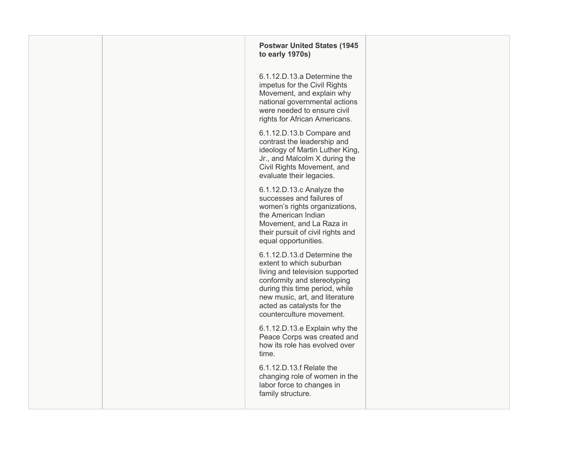|  | <b>Postwar United States (1945)</b><br>to early 1970s)                                                                                                                                                                                                  |  |
|--|---------------------------------------------------------------------------------------------------------------------------------------------------------------------------------------------------------------------------------------------------------|--|
|  | 6.1.12.D.13.a Determine the<br>impetus for the Civil Rights<br>Movement, and explain why<br>national governmental actions<br>were needed to ensure civil<br>rights for African Americans.                                                               |  |
|  | 6.1.12.D.13.b Compare and<br>contrast the leadership and<br>ideology of Martin Luther King,<br>Jr., and Malcolm X during the<br>Civil Rights Movement, and<br>evaluate their legacies.                                                                  |  |
|  | 6.1.12.D.13.c Analyze the<br>successes and failures of<br>women's rights organizations,<br>the American Indian<br>Movement, and La Raza in<br>their pursuit of civil rights and<br>equal opportunities.                                                 |  |
|  | 6.1.12.D.13.d Determine the<br>extent to which suburban<br>living and television supported<br>conformity and stereotyping<br>during this time period, while<br>new music, art, and literature<br>acted as catalysts for the<br>counterculture movement. |  |
|  | 6.1.12.D.13.e Explain why the<br>Peace Corps was created and<br>how its role has evolved over<br>time.                                                                                                                                                  |  |
|  | 6.1.12.D.13.f Relate the<br>changing role of women in the<br>labor force to changes in<br>family structure.                                                                                                                                             |  |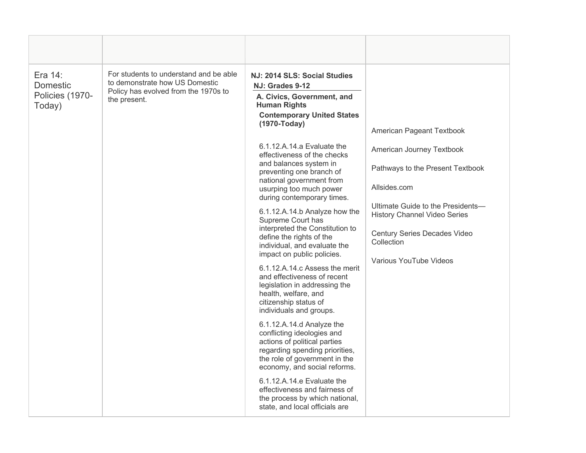| Era 14:<br><b>Domestic</b><br>Policies (1970-<br>Today) | For students to understand and be able<br>to demonstrate how US Domestic<br>Policy has evolved from the 1970s to<br>the present. | NJ: 2014 SLS: Social Studies<br>NJ: Grades 9-12<br>A. Civics, Government, and<br><b>Human Rights</b><br><b>Contemporary United States</b><br>(1970-Today)<br>6.1.12.A.14.a Evaluate the<br>effectiveness of the checks<br>and balances system in<br>preventing one branch of<br>national government from<br>usurping too much power<br>during contemporary times.<br>6.1.12.A.14.b Analyze how the<br>Supreme Court has<br>interpreted the Constitution to<br>define the rights of the<br>individual, and evaluate the<br>impact on public policies.<br>6.1.12.A.14.c Assess the merit<br>and effectiveness of recent<br>legislation in addressing the<br>health, welfare, and<br>citizenship status of<br>individuals and groups.<br>6.1.12.A.14.d Analyze the<br>conflicting ideologies and<br>actions of political parties<br>regarding spending priorities,<br>the role of government in the<br>economy, and social reforms.<br>6.1.12.A.14.e Evaluate the<br>effectiveness and fairness of<br>the process by which national,<br>state, and local officials are | American Pageant Textbook<br>American Journey Textbook<br>Pathways to the Present Textbook<br>Allsides.com<br>Ultimate Guide to the Presidents-<br><b>History Channel Video Series</b><br>Century Series Decades Video<br>Collection<br>Various YouTube Videos |
|---------------------------------------------------------|----------------------------------------------------------------------------------------------------------------------------------|---------------------------------------------------------------------------------------------------------------------------------------------------------------------------------------------------------------------------------------------------------------------------------------------------------------------------------------------------------------------------------------------------------------------------------------------------------------------------------------------------------------------------------------------------------------------------------------------------------------------------------------------------------------------------------------------------------------------------------------------------------------------------------------------------------------------------------------------------------------------------------------------------------------------------------------------------------------------------------------------------------------------------------------------------------------------|----------------------------------------------------------------------------------------------------------------------------------------------------------------------------------------------------------------------------------------------------------------|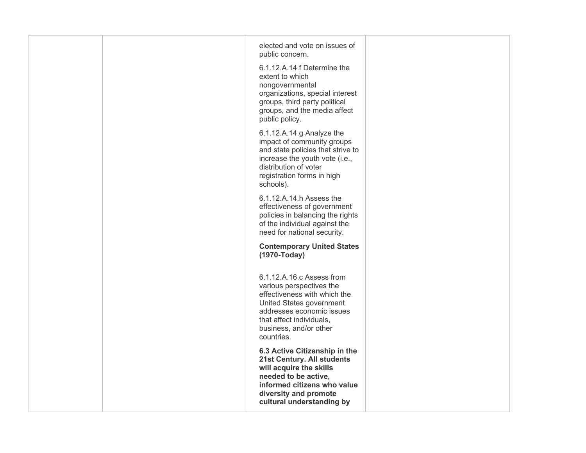|  | elected and vote on issues of<br>public concern.<br>6.1.12.A.14.f Determine the<br>extent to which<br>nongovernmental<br>organizations, special interest<br>groups, third party political<br>groups, and the media affect<br>public policy. |  |
|--|---------------------------------------------------------------------------------------------------------------------------------------------------------------------------------------------------------------------------------------------|--|
|  | 6.1.12.A.14.g Analyze the<br>impact of community groups<br>and state policies that strive to<br>increase the youth vote (i.e.,<br>distribution of voter<br>registration forms in high<br>schools).                                          |  |
|  | 6.1.12.A.14.h Assess the<br>effectiveness of government<br>policies in balancing the rights<br>of the individual against the<br>need for national security.                                                                                 |  |
|  | <b>Contemporary United States</b><br>(1970-Today)                                                                                                                                                                                           |  |
|  | 6.1.12.A.16.c Assess from<br>various perspectives the<br>effectiveness with which the<br>United States government<br>addresses economic issues<br>that affect individuals,<br>business, and/or other<br>countries.                          |  |
|  | 6.3 Active Citizenship in the<br>21st Century. All students<br>will acquire the skills<br>needed to be active,<br>informed citizens who value<br>diversity and promote<br>cultural understanding by                                         |  |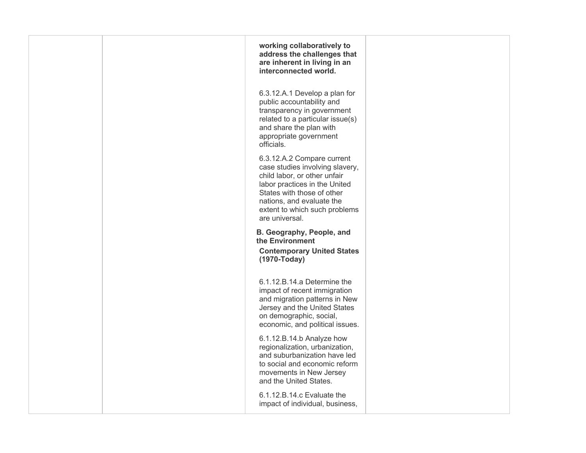|  | working collaboratively to<br>address the challenges that<br>are inherent in living in an<br>interconnected world.                                                                                                                           |  |
|--|----------------------------------------------------------------------------------------------------------------------------------------------------------------------------------------------------------------------------------------------|--|
|  | 6.3.12.A.1 Develop a plan for<br>public accountability and<br>transparency in government<br>related to a particular issue(s)<br>and share the plan with<br>appropriate government<br>officials.                                              |  |
|  | 6.3.12.A.2 Compare current<br>case studies involving slavery,<br>child labor, or other unfair<br>labor practices in the United<br>States with those of other<br>nations, and evaluate the<br>extent to which such problems<br>are universal. |  |
|  | B. Geography, People, and<br>the Environment<br><b>Contemporary United States</b><br>(1970-Today)                                                                                                                                            |  |
|  | 6.1.12.B.14.a Determine the<br>impact of recent immigration<br>and migration patterns in New<br>Jersey and the United States<br>on demographic, social,<br>economic, and political issues.                                                   |  |
|  | 6.1.12.B.14.b Analyze how<br>regionalization, urbanization,<br>and suburbanization have led<br>to social and economic reform<br>movements in New Jersey<br>and the United States.                                                            |  |
|  | 6.1.12.B.14.c Evaluate the<br>impact of individual, business,                                                                                                                                                                                |  |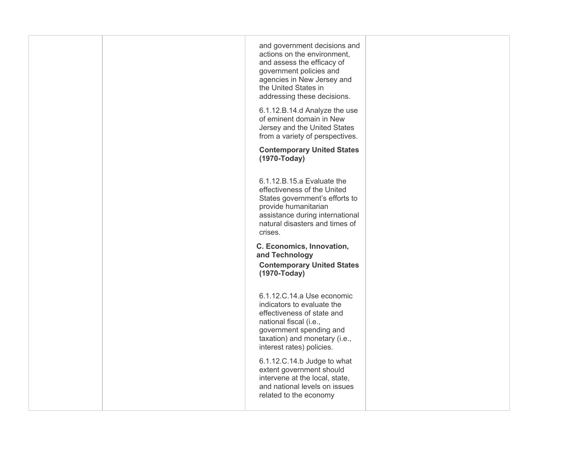|  | and government decisions and<br>actions on the environment,<br>and assess the efficacy of<br>government policies and<br>agencies in New Jersey and<br>the United States in<br>addressing these decisions. |  |
|--|-----------------------------------------------------------------------------------------------------------------------------------------------------------------------------------------------------------|--|
|  | 6.1.12.B.14.d Analyze the use<br>of eminent domain in New<br>Jersey and the United States<br>from a variety of perspectives.                                                                              |  |
|  | <b>Contemporary United States</b><br>(1970-Today)                                                                                                                                                         |  |
|  | 6.1.12.B.15.a Evaluate the<br>effectiveness of the United<br>States government's efforts to<br>provide humanitarian<br>assistance during international<br>natural disasters and times of<br>crises.       |  |
|  | C. Economics, Innovation,<br>and Technology<br><b>Contemporary United States</b><br>(1970-Today)                                                                                                          |  |
|  | 6.1.12.C.14.a Use economic<br>indicators to evaluate the<br>effectiveness of state and<br>national fiscal (i.e.,<br>government spending and<br>taxation) and monetary (i.e.,<br>interest rates) policies. |  |
|  | 6.1.12.C.14.b Judge to what<br>extent government should<br>intervene at the local, state,<br>and national levels on issues<br>related to the economy                                                      |  |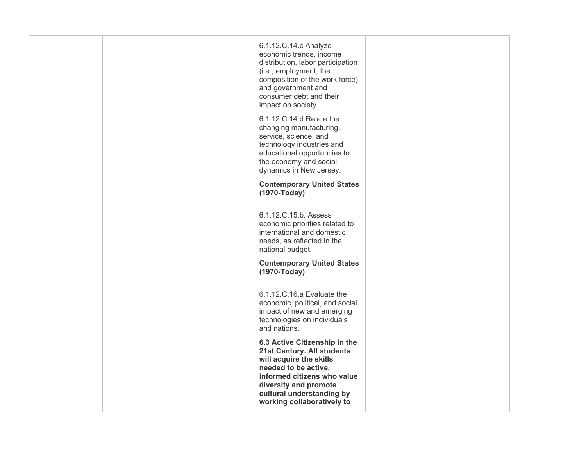| 6.1.12.C.14.c Analyze<br>economic trends, income<br>distribution, labor participation<br>(i.e., employment, the<br>composition of the work force),<br>and government and<br>consumer debt and their<br>impact on society.         |  |
|-----------------------------------------------------------------------------------------------------------------------------------------------------------------------------------------------------------------------------------|--|
| 6.1.12.C.14.d Relate the<br>changing manufacturing,<br>service, science, and<br>technology industries and<br>educational opportunities to<br>the economy and social<br>dynamics in New Jersey.                                    |  |
| <b>Contemporary United States</b><br>(1970-Today)                                                                                                                                                                                 |  |
| 6.1.12.C.15.b. Assess<br>economic priorities related to<br>international and domestic<br>needs, as reflected in the<br>national budget.                                                                                           |  |
| <b>Contemporary United States</b><br>(1970-Today)                                                                                                                                                                                 |  |
| 6.1.12.C.16.a Evaluate the<br>economic, political, and social<br>impact of new and emerging<br>technologies on individuals<br>and nations.                                                                                        |  |
| 6.3 Active Citizenship in the<br>21st Century. All students<br>will acquire the skills<br>needed to be active,<br>informed citizens who value<br>diversity and promote<br>cultural understanding by<br>working collaboratively to |  |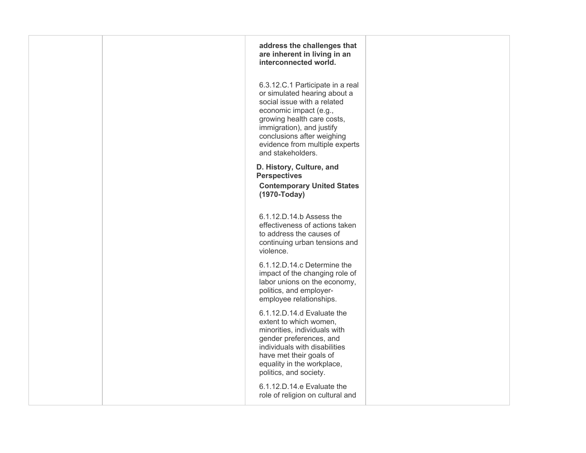| address the challenges that<br>are inherent in living in an<br>interconnected world.                                                                                                                                                                                      |  |
|---------------------------------------------------------------------------------------------------------------------------------------------------------------------------------------------------------------------------------------------------------------------------|--|
| 6.3.12.C.1 Participate in a real<br>or simulated hearing about a<br>social issue with a related<br>economic impact (e.g.,<br>growing health care costs,<br>immigration), and justify<br>conclusions after weighing<br>evidence from multiple experts<br>and stakeholders. |  |
| D. History, Culture, and<br><b>Perspectives</b><br><b>Contemporary United States</b><br>(1970-Today)                                                                                                                                                                      |  |
| 6.1.12.D.14.b Assess the<br>effectiveness of actions taken<br>to address the causes of<br>continuing urban tensions and<br>violence.                                                                                                                                      |  |
| 6.1.12.D.14.c Determine the<br>impact of the changing role of<br>labor unions on the economy,<br>politics, and employer-<br>employee relationships.                                                                                                                       |  |
| 6.1.12.D.14.d Evaluate the<br>extent to which women,<br>minorities, individuals with<br>gender preferences, and<br>individuals with disabilities<br>have met their goals of<br>equality in the workplace,<br>politics, and society.                                       |  |
| 6.1.12.D.14.e Evaluate the<br>role of religion on cultural and                                                                                                                                                                                                            |  |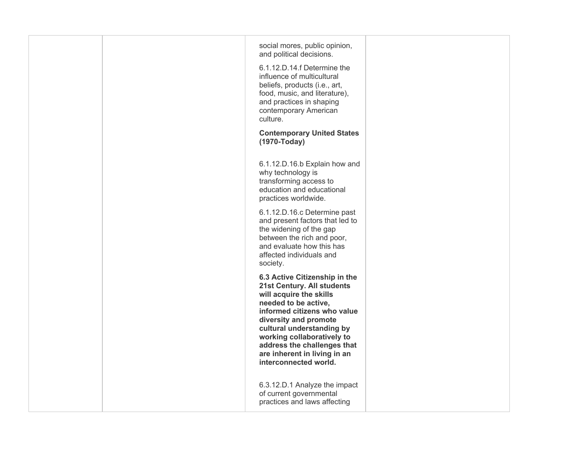|  | social mores, public opinion,<br>and political decisions.<br>6.1.12.D.14.f Determine the<br>influence of multicultural<br>beliefs, products (i.e., art,<br>food, music, and literature),<br>and practices in shaping<br>contemporary American<br>culture.<br><b>Contemporary United States</b><br>(1970-Today)            |  |
|--|---------------------------------------------------------------------------------------------------------------------------------------------------------------------------------------------------------------------------------------------------------------------------------------------------------------------------|--|
|  | 6.1.12.D.16.b Explain how and<br>why technology is<br>transforming access to<br>education and educational<br>practices worldwide.                                                                                                                                                                                         |  |
|  | 6.1.12.D.16.c Determine past<br>and present factors that led to<br>the widening of the gap<br>between the rich and poor,<br>and evaluate how this has<br>affected individuals and<br>society.                                                                                                                             |  |
|  | 6.3 Active Citizenship in the<br>21st Century. All students<br>will acquire the skills<br>needed to be active,<br>informed citizens who value<br>diversity and promote<br>cultural understanding by<br>working collaboratively to<br>address the challenges that<br>are inherent in living in an<br>interconnected world. |  |
|  | 6.3.12.D.1 Analyze the impact<br>of current governmental<br>practices and laws affecting                                                                                                                                                                                                                                  |  |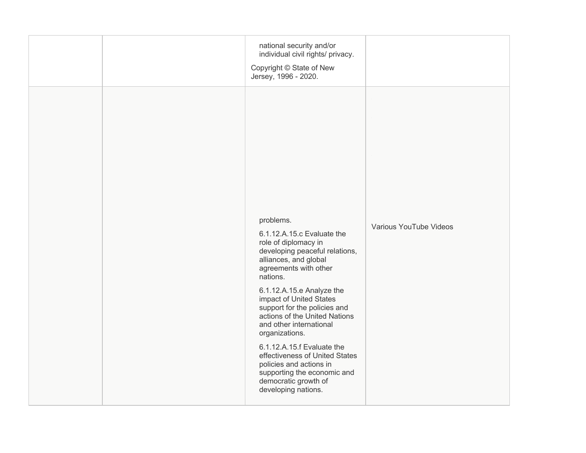|  | national security and/or<br>individual civil rights/ privacy.<br>Copyright © State of New<br>Jersey, 1996 - 2020.                                                                                                                                                                                                                                                                                                                                                                                              |                        |
|--|----------------------------------------------------------------------------------------------------------------------------------------------------------------------------------------------------------------------------------------------------------------------------------------------------------------------------------------------------------------------------------------------------------------------------------------------------------------------------------------------------------------|------------------------|
|  | problems.<br>6.1.12.A.15.c Evaluate the<br>role of diplomacy in<br>developing peaceful relations,<br>alliances, and global<br>agreements with other<br>nations.<br>6.1.12.A.15.e Analyze the<br>impact of United States<br>support for the policies and<br>actions of the United Nations<br>and other international<br>organizations.<br>6.1.12.A.15.f Evaluate the<br>effectiveness of United States<br>policies and actions in<br>supporting the economic and<br>democratic growth of<br>developing nations. | Various YouTube Videos |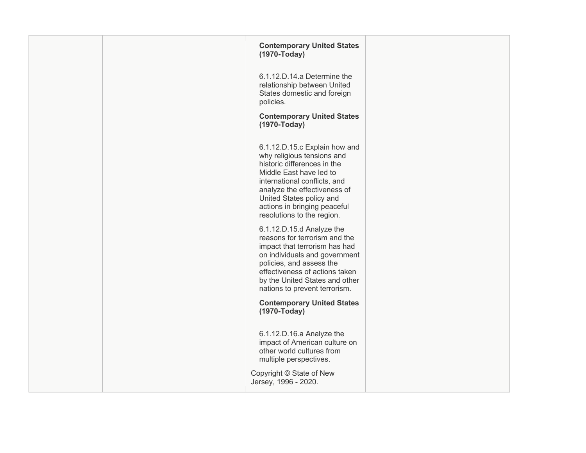|  | <b>Contemporary United States</b><br>(1970-Today)                                                                                                                                                                                                                               |  |
|--|---------------------------------------------------------------------------------------------------------------------------------------------------------------------------------------------------------------------------------------------------------------------------------|--|
|  | 6.1.12.D.14.a Determine the<br>relationship between United<br>States domestic and foreign<br>policies.                                                                                                                                                                          |  |
|  | <b>Contemporary United States</b><br>(1970-Today)                                                                                                                                                                                                                               |  |
|  | 6.1.12.D.15.c Explain how and<br>why religious tensions and<br>historic differences in the<br>Middle East have led to<br>international conflicts, and<br>analyze the effectiveness of<br>United States policy and<br>actions in bringing peaceful<br>resolutions to the region. |  |
|  | 6.1.12.D.15.d Analyze the<br>reasons for terrorism and the<br>impact that terrorism has had<br>on individuals and government<br>policies, and assess the<br>effectiveness of actions taken<br>by the United States and other<br>nations to prevent terrorism.                   |  |
|  | <b>Contemporary United States</b><br>(1970-Today)                                                                                                                                                                                                                               |  |
|  | 6.1.12.D.16.a Analyze the<br>impact of American culture on<br>other world cultures from<br>multiple perspectives.                                                                                                                                                               |  |
|  | Copyright © State of New<br>Jersey, 1996 - 2020.                                                                                                                                                                                                                                |  |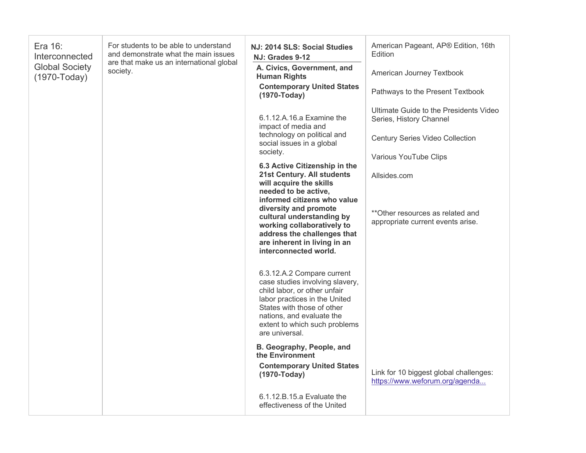| Era 16:<br>Interconnected<br><b>Global Society</b><br>(1970-Today) | For students to be able to understand<br>and demonstrate what the main issues<br>are that make us an international global<br>society. | NJ: 2014 SLS: Social Studies<br>NJ: Grades 9-12<br>A. Civics, Government, and<br><b>Human Rights</b>                                                                                                                                         | American Pageant, AP® Edition, 16th<br>Edition<br>American Journey Textbook |
|--------------------------------------------------------------------|---------------------------------------------------------------------------------------------------------------------------------------|----------------------------------------------------------------------------------------------------------------------------------------------------------------------------------------------------------------------------------------------|-----------------------------------------------------------------------------|
|                                                                    |                                                                                                                                       | <b>Contemporary United States</b><br>(1970-Today)                                                                                                                                                                                            | Pathways to the Present Textbook                                            |
|                                                                    |                                                                                                                                       | 6.1.12.A.16.a Examine the<br>impact of media and                                                                                                                                                                                             | Ultimate Guide to the Presidents Video<br>Series, History Channel           |
|                                                                    |                                                                                                                                       | technology on political and<br>social issues in a global                                                                                                                                                                                     | <b>Century Series Video Collection</b>                                      |
|                                                                    |                                                                                                                                       | society.<br>6.3 Active Citizenship in the                                                                                                                                                                                                    | Various YouTube Clips                                                       |
|                                                                    |                                                                                                                                       | 21st Century. All students<br>will acquire the skills<br>needed to be active,<br>informed citizens who value                                                                                                                                 | Allsides.com                                                                |
|                                                                    |                                                                                                                                       | diversity and promote<br>cultural understanding by<br>working collaboratively to<br>address the challenges that<br>are inherent in living in an<br>interconnected world.                                                                     | **Other resources as related and<br>appropriate current events arise.       |
|                                                                    |                                                                                                                                       | 6.3.12.A.2 Compare current<br>case studies involving slavery,<br>child labor, or other unfair<br>labor practices in the United<br>States with those of other<br>nations, and evaluate the<br>extent to which such problems<br>are universal. |                                                                             |
|                                                                    |                                                                                                                                       | B. Geography, People, and<br>the Environment                                                                                                                                                                                                 |                                                                             |
|                                                                    |                                                                                                                                       | <b>Contemporary United States</b><br>(1970-Today)                                                                                                                                                                                            | Link for 10 biggest global challenges:<br>https://www.weforum.org/agenda    |
|                                                                    |                                                                                                                                       | 6.1.12.B.15.a Evaluate the<br>effectiveness of the United                                                                                                                                                                                    |                                                                             |